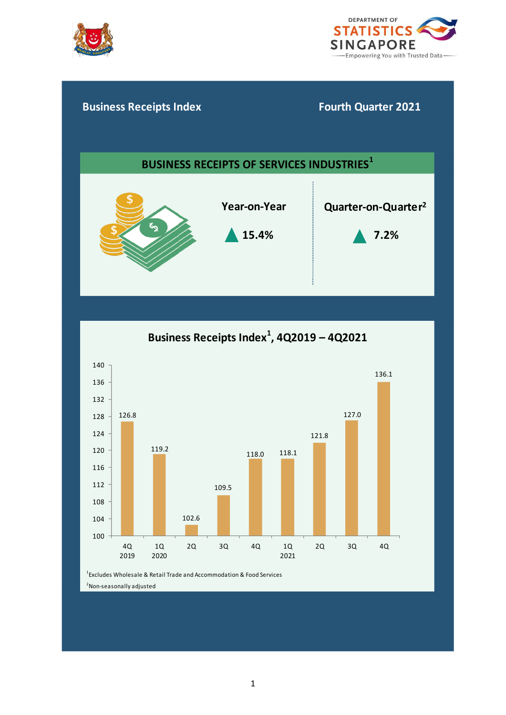



# **15.4% 7.2% Business Receipts Index Fourth Quarter 2021 BUSINESS RECEIPTS OF SERVICES INDUSTRIES<sup>1</sup> Year-on-Year Quarter-on-Quarter<sup>2</sup>**



1 Excludes Wholesale & Retail Trade and Accommodation & Food Services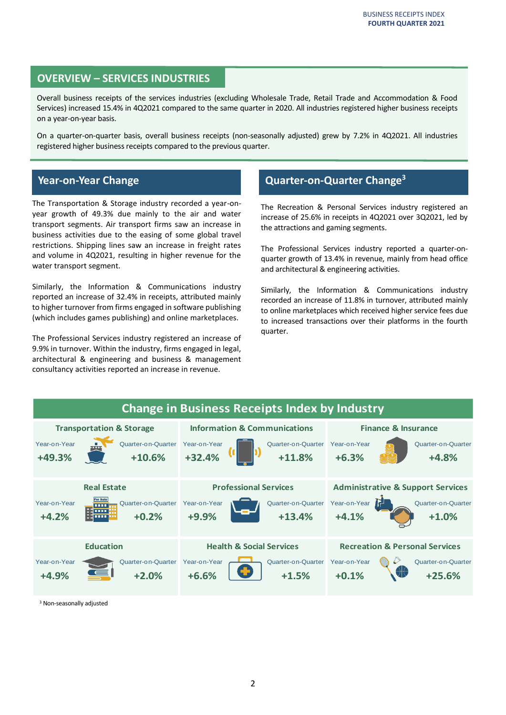# **OVERVIEW – SERVICES INDUSTRIES**

Overall business receipts of the services industries (excluding Wholesale Trade, Retail Trade and Accommodation & Food Services) increased 15.4% in 4Q2021 compared to the same quarter in 2020. All industries registered higher business receipts on a year-on-year basis.

On a quarter-on-quarter basis, overall business receipts (non-seasonally adjusted) grew by 7.2% in 4Q2021. All industries registered higher business receipts compared to the previous quarter.

# **Year-on-Year Change**

The Transportation & Storage industry recorded a year-onyear growth of 49.3% due mainly to the air and water transport segments. Air transport firms saw an increase in business activities due to the easing of some global travel restrictions. Shipping lines saw an increase in freight rates and volume in 4Q2021, resulting in higher revenue for the water transport segment.

Similarly, the Information & Communications industry reported an increase of 32.4% in receipts, attributed mainly to higher turnover from firms engaged in software publishing (which includes games publishing) and online marketplaces.

The Professional Services industry registered an increase of 9.9% in turnover. Within the industry, firms engaged in legal, architectural & engineering and business & management consultancy activities reported an increase in revenue.

# **Quarter-on-Quarter Change<sup>3</sup>**

The Recreation & Personal Services industry registered an increase of 25.6% in receipts in 4Q2021 over 3Q2021, led by the attractions and gaming segments.

The Professional Services industry reported a quarter-onquarter growth of 13.4% in revenue, mainly from head office and architectural & engineering activities.

Similarly, the Information & Communications industry recorded an increase of 11.8% in turnover, attributed mainly to online marketplaces which received higher service fees due to increased transactions over their platforms in the fourth quarter.



<sup>3</sup> Non-seasonally adjusted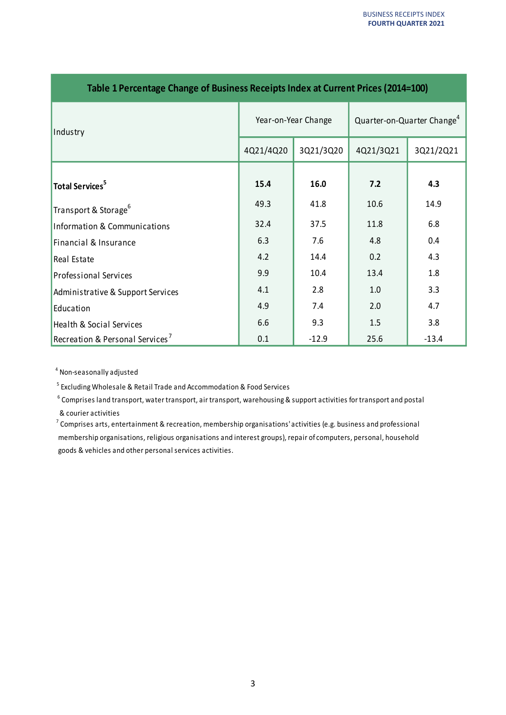| Table I Percentage Change of Business Receipts index at Current Prices (2014–100) |                     |           |                                        |           |
|-----------------------------------------------------------------------------------|---------------------|-----------|----------------------------------------|-----------|
| Industry                                                                          | Year-on-Year Change |           | Quarter-on-Quarter Change <sup>4</sup> |           |
|                                                                                   | 4Q21/4Q20           | 3Q21/3Q20 | 4Q21/3Q21                              | 3Q21/2Q21 |
| Total Services <sup>5</sup>                                                       | 15.4                | 16.0      | 7.2                                    | 4.3       |
| Transport & Storage <sup>6</sup>                                                  | 49.3                | 41.8      | 10.6                                   | 14.9      |
| Information & Communications                                                      | 32.4                | 37.5      | 11.8                                   | 6.8       |
| Financial & Insurance                                                             | 6.3                 | 7.6       | 4.8                                    | 0.4       |
| Real Estate                                                                       | 4.2                 | 14.4      | 0.2                                    | 4.3       |
| <b>Professional Services</b>                                                      | 9.9                 | 10.4      | 13.4                                   | 1.8       |
| Administrative & Support Services                                                 | 4.1                 | 2.8       | 1.0                                    | 3.3       |
| Education                                                                         | 4.9                 | 7.4       | 2.0                                    | 4.7       |
| Health & Social Services                                                          | 6.6                 | 9.3       | 1.5                                    | 3.8       |
| Recreation & Personal Services <sup>7</sup>                                       | 0.1                 | $-12.9$   | 25.6                                   | $-13.4$   |

## **Table 1 Percentage Change of Business Receipts Index at Current Prices (2014=100)**

<sup>4</sup> Non-seasonally adjusted

<sup>5</sup>Excluding Wholesale & Retail Trade and Accommodation & Food Services

 $6$  Comprises land transport, water transport, air transport, warehousing & support activities for transport and postal & courier activities

 $7$  Comprises arts, entertainment & recreation, membership organisations' activities (e.g. business and professional membership organisations, religious organisations and interest groups), repair of computers, personal, household goods & vehicles and other personal services activities.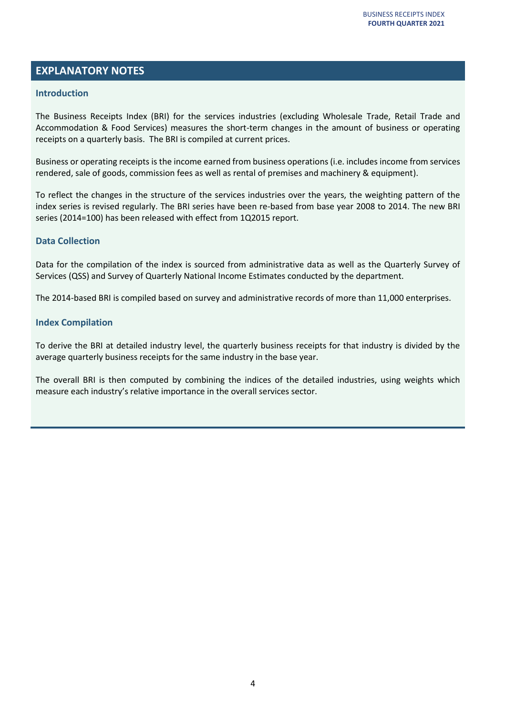# **EXPLANATORY NOTES**

## **Introduction**

The Business Receipts Index (BRI) for the services industries (excluding Wholesale Trade, Retail Trade and Accommodation & Food Services) measures the short-term changes in the amount of business or operating receipts on a quarterly basis. The BRI is compiled at current prices.

Business or operating receipts is the income earned from business operations (i.e. includes income from services rendered, sale of goods, commission fees as well as rental of premises and machinery & equipment).

To reflect the changes in the structure of the services industries over the years, the weighting pattern of the index series is revised regularly. The BRI series have been re-based from base year 2008 to 2014. The new BRI series (2014=100) has been released with effect from 1Q2015 report.

## **Data Collection**

Data for the compilation of the index is sourced from administrative data as well as the Quarterly Survey of Services (QSS) and Survey of Quarterly National Income Estimates conducted by the department.

The 2014-based BRI is compiled based on survey and administrative records of more than 11,000 enterprises.

## **Index Compilation**

To derive the BRI at detailed industry level, the quarterly business receipts for that industry is divided by the average quarterly business receipts for the same industry in the base year.

The overall BRI is then computed by combining the indices of the detailed industries, using weights which measure each industry's relative importance in the overall services sector.